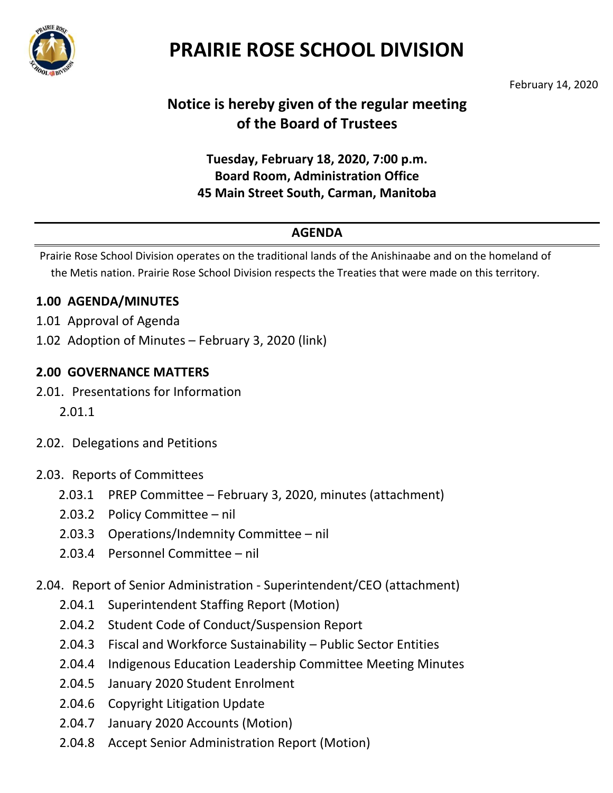

# **PRAIRIE ROSE SCHOOL DIVISION**

February 14, 2020

## **Notice is hereby given of the regular meeting of the Board of Trustees**

### **Tuesday, February 18, 2020, 7:00 p.m. Board Room, Administration Office 45 Main Street South, Carman, Manitoba**

### **AGENDA**

Prairie Rose School Division operates on the traditional lands of the Anishinaabe and on the homeland of the Metis nation. Prairie Rose School Division respects the Treaties that were made on this territory.

#### **1.00 AGENDA/MINUTES**

- 1.01 Approval of Agenda
- 1.02 Adoption of Minutes February 3, 2020 [\(link\)](http://sharepoint.prsdmb.ca/board/Shared%20Documents/Board%20Meetings%202009-2017/Board%20Meetings%202017-2018/2018%2002%2020%20Board%20Meeting/2018%2002%2020%20Board%20Minutes.pdf)

#### **2.00 GOVERNANCE MATTERS**

- 2.01. Presentations for Information
	- 2.01.1
- 2.02. Delegations and Petitions
- 2.03. Reports of Committees
	- 2.03.1 PREP Committee February 3, 2020, minutes (attachment)
	- 2.03.2 Policy Committee nil
	- 2.03.3 Operations/Indemnity Committee nil
	- 2.03.4 Personnel Committee nil
- 2.04. Report of Senior Administration Superintendent/CEO (attachment)
	- 2.04.1 Superintendent Staffing Report (Motion)
	- 2.04.2 Student Code of Conduct/Suspension Report
	- 2.04.3 Fiscal and Workforce Sustainability Public Sector Entities
	- 2.04.4 Indigenous Education Leadership Committee Meeting Minutes
	- 2.04.5 January 2020 Student Enrolment
	- 2.04.6 Copyright Litigation Update
	- 2.04.7 January 2020 Accounts (Motion)
	- 2.04.8 Accept Senior Administration Report (Motion)